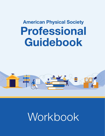# **American Physical Society [Professional](https://aps.org/careers/guidebook/index.cfm)  [Guidebook](https://aps.org/careers/guidebook/index.cfm)**



# Workbook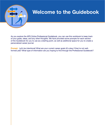

#### **[Welcome to the Guidebook](https://aps.org/careers/guidebook/index.cfm)**

As you explore the [APS Online Professional Guidebook,](https://aps.org/careers/guidebook/index.cfm) you can use this workbook to keep track of your goals, ideas, and any other thoughts. We have provided some prompts for each section of the Guidebook for you to use as a starting point, as well as additional space for you to create a personalized career journal.

**Prompt:** Let's be intentional! What are your current career goals (it's okay if they're not wellformed yet)? What type of information are you hoping to find through the Professional Guidebook?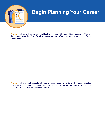

# **[Begin Planning Your Career](https://aps.org/careers/guidebook/selfassessment.cfm)**

**Prompt:** Pick up to [three physicist profiles](https://aps.org/careers/physicists/profiles/index.cfm) that resonate with you and think about why. Was it the person's story, their field of work, or something else? Would you want to pursue any of these career paths?

**Prompt:** Pick one [Job Prospect profile](https://aps.org/careers/physicists/prospects.cfm) that intrigued you and write down why you're interested in it. What training might be required to find a job in this field? Which skills do you already have? What additional skills would you need to build?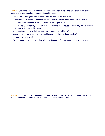**Prompt:** Under the subsection "You're the main character" review and answer as many of the questions as you can about career options of interest:

- **•**  Would I enjoy doing this job? Am I interested in the day-to-day work?
- Is the work team-based or collaborative? Do I prefer working alone or as part of a group?
- **•**  Do I like having guidance or do I like problem-solving on my own?
- **•**  Does the salary match my expectations? Do I want to buy a house or cover any large expenses in 2 years or 5 years or 10 years?
- Does the job offer work-life balance? How important is that to me?
- Would I have to move somewhere specific or are multiple locations feasible?
- Is there travel involved?
- **•**  Are there certain places I want to avoid, e.g. defense or finance sectors, due to my values?

**Prompt:** What are your top 3 takeaways? Are there any physicist profiles or career paths from the last activity that would match the criteria you have just created?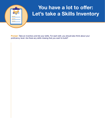

# **You have a lot to [offer:](https://aps.org/careers/guidebook/skills.cfm) [Let's take a Skills Inventory](https://aps.org/careers/guidebook/skills.cfm)**

**Prompt:** Take an inventory and list your skills. For each skill, you should also think about your proficiency level. Are there any skills missing that you want to build?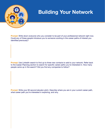

## **[Building Your Network](https://aps.org/careers/guidebook/network.cfm)**

**Prompt:** Write down everyone who you consider to be part of your professional network right now. Could any of these people introduce you to someone working in the career paths of interest you identified previously?

**Prompt:** Use LinkedIn search to find up to three new contacts to add to your network. Refer back to the [Career Planning](https://aps.org/careers/guidebook/selfassessment.cfm) section to search for specific career paths you're interested in. How many people came up in the search? Did you find any companies to follow?

**Prompt:** Write your 60 second elevator pitch. Describe where you are in your current career path, what career path you're interested in exploring, and why.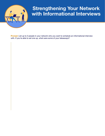

#### **[Strengthening Your Network](https://aps.org/careers/guidebook/interview.cfm)  [with Informational Interviews](https://aps.org/careers/guidebook/interview.cfm)**

**Prompt:** List up to 3 people in your network who you want to schedule an informational interview with. If you're able to set one up, what were some of your takeaways?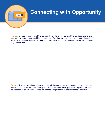

#### **[Connecting with Opportunity](https://aps.org/careers/guidebook/opportunity.cfm)**

**Prompt:** Browse through one of the job boards listed and read some of the job descriptions. Did you find any that match your skills and expertise? Conduct a quick LinkedIn search to determine if you have any connections at the company/organization. If you are interested, follow the company page on LinkedIn.

**Prompt:** If you're planning to attend a career fair, look up some organizations or companies that will be present. Note the types of job postings and the skills and experiences required. Use the next section to create some tailored resumes to bring with you to share with the employers.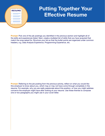

#### **RESUME Putting Together Your [Effective](https://aps.org/careers/guidebook/resume.cfm) Resume**

**Prompt:** Pick one of the job postings you identified in the previous section and highlight all of the skills and experiences listed. Next, create a bulleted list of skills that you have acquired that match the ones asked for. Structure your list so that the bullet points are organized under common headers, e.g. Data Analysis Experience, Programming Experience, etc.

**Prompt:** Referring to the job posting from the previous activity, reflect on what you would like this employer to know about you, which may or may not have come through completely in the resume. For example, why you are really passionate about this position, or how you might address concerns the employer might have after looking at your resume. Use these themes to compose one or two paragraphs you might use in your cover letter.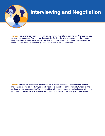

#### **[Interviewing and Negotiation](https://aps.org/careers/guidebook/interviewing.cfm)**

**Prompt:** This activity can be used for any interview you might have coming up. Alternatively, you can use the job posting from the previous activity. Review the job description and the organization webpage to come up with some questions that you might want to ask during the interview. Also research some common interview questions and write down your answers.

**Prompt:** For the job description you worked on in previous sections, research what salaries and benefits are typical for that type of job (tools like [GlassDoor](https://www.glassdoor.com/Salaries/index.htm) can be helpful). What benefits are listed in the job description? Which benefits might you ask about in the job interview that are important to you (e.g. flexible telework policy, health insurance coverage, type of sick leave)?